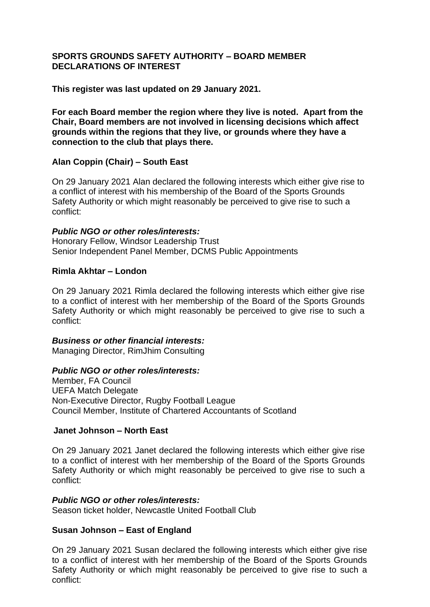## **SPORTS GROUNDS SAFETY AUTHORITY – BOARD MEMBER DECLARATIONS OF INTEREST**

**This register was last updated on 29 January 2021.**

**For each Board member the region where they live is noted. Apart from the Chair, Board members are not involved in licensing decisions which affect grounds within the regions that they live, or grounds where they have a connection to the club that plays there.** 

## **Alan Coppin (Chair) – South East**

On 29 January 2021 Alan declared the following interests which either give rise to a conflict of interest with his membership of the Board of the Sports Grounds Safety Authority or which might reasonably be perceived to give rise to such a conflict:

### *Public NGO or other roles/interests:*

Honorary Fellow, Windsor Leadership Trust Senior Independent Panel Member, DCMS Public Appointments

## **Rimla Akhtar – London**

On 29 January 2021 Rimla declared the following interests which either give rise to a conflict of interest with her membership of the Board of the Sports Grounds Safety Authority or which might reasonably be perceived to give rise to such a conflict:

## *Business or other financial interests:*

Managing Director, RimJhim Consulting

## *Public NGO or other roles/interests:*

Member, FA Council UEFA Match Delegate Non-Executive Director, Rugby Football League Council Member, Institute of Chartered Accountants of Scotland

# **Janet Johnson – North East**

On 29 January 2021 Janet declared the following interests which either give rise to a conflict of interest with her membership of the Board of the Sports Grounds Safety Authority or which might reasonably be perceived to give rise to such a conflict:

## *Public NGO or other roles/interests:*

Season ticket holder, Newcastle United Football Club

## **Susan Johnson – East of England**

On 29 January 2021 Susan declared the following interests which either give rise to a conflict of interest with her membership of the Board of the Sports Grounds Safety Authority or which might reasonably be perceived to give rise to such a conflict: